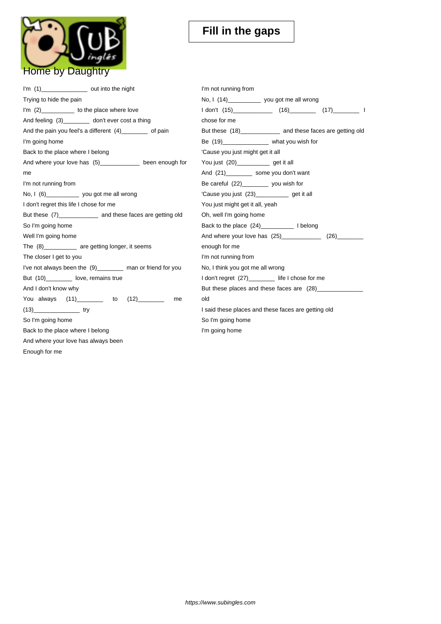

| I'm (1)____________________ out into the night               | I'm not running from                                            |
|--------------------------------------------------------------|-----------------------------------------------------------------|
| Trying to hide the pain                                      | No, I (14)______________ you got me all wrong                   |
| I'm (2)____________ to the place where love                  | 1 don't (15)________________ (16)___________ (17)____________ 1 |
| And feeling (3)_________ don't ever cost a thing             | chose for me                                                    |
| And the pain you feel's a different (4)________ of pain      | But these (18)_______________ and these faces are getting old   |
| I'm going home                                               | Be (19)_____________________ what you wish for                  |
| Back to the place where I belong                             | 'Cause you just might get it all                                |
| And where your love has (5)____________ been enough for      | You just (20)______________ get it all                          |
| me                                                           | And (21)____________ some you don't want                        |
| I'm not running from                                         | Be careful (22)__________ you wish for                          |
| No, I (6) ______________ you got me all wrong                | 'Cause you just (23)_____________ get it all                    |
| I don't regret this life I chose for me                      | You just might get it all, yeah                                 |
| But these (7)_______________ and these faces are getting old | Oh, well I'm going home                                         |
| So I'm going home                                            |                                                                 |
| Well I'm going home                                          | And where your love has (25)_____________<br>(26)               |
| The (8)___________ are getting longer, it seems              | enough for me                                                   |
| The closer I get to you                                      | I'm not running from                                            |
| I've not always been the (9)________ man or friend for you   | No, I think you got me all wrong                                |
| But (10)_________ love, remains true                         | I don't regret (27)_________ life I chose for me                |
| And I don't know why                                         | But these places and these faces are (28)                       |
| You always (11)________ to (12)_______<br>me                 | old                                                             |
| $(13)$ try                                                   | I said these places and these faces are getting old             |
| So I'm going home                                            | So I'm going home                                               |
| Back to the place where I belong                             | I'm going home                                                  |
| And where your love has always been                          |                                                                 |
| Enough for me                                                |                                                                 |